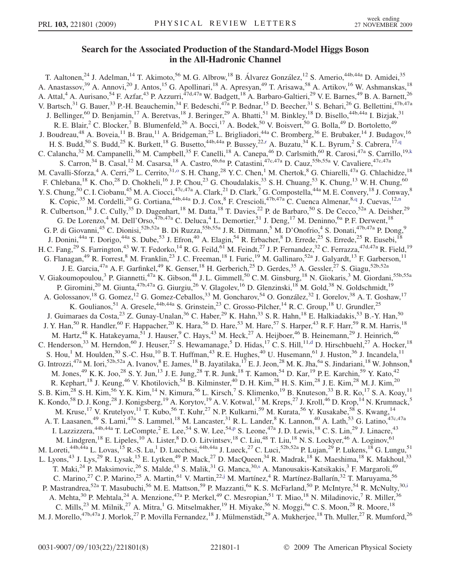## Search for the Associated Production of the Standard-Model Higgs Boson in the All-Hadronic Channel

<span id="page-0-8"></span><span id="page-0-7"></span><span id="page-0-6"></span><span id="page-0-5"></span><span id="page-0-4"></span><span id="page-0-3"></span><span id="page-0-2"></span><span id="page-0-1"></span><span id="page-0-0"></span>T. Aaltonen,<sup>24</sup> J. Adelman,<sup>14</sup> T. Akimoto,<sup>56</sup> M. G. Albrow,<sup>18</sup> B. Álvarez González,<sup>12</sup> S. Amerio,<sup>44b,44a</sup> D. Amidei,<sup>35</sup> A. Anastassov,<sup>39</sup> A. Annovi,<sup>20</sup> J. Antos,<sup>15</sup> G. Apollinari,<sup>18</sup> A. Apresyan,<sup>49</sup> T. Arisawa,<sup>58</sup> A. Artikov,<sup>16</sup> W. Ashmanskas,<sup>18</sup> A. Attal,<sup>4</sup> A. Aurisano,<sup>54</sup> F. Azfar,<sup>43</sup> P. Azzurri,<sup>47d,47a</sup> W. Badgett,<sup>18</sup> A. Barbaro-Galtieri,<sup>29</sup> V. E. Barnes,<sup>49</sup> B. A. Barnett,<sup>26</sup> V. Bartsch,<sup>31</sup> G. Bauer,<sup>33</sup> P.-H. Beauchemin,<sup>34</sup> F. Bedeschi,<sup>47a</sup> P. Bednar,<sup>15</sup> D. Beecher,<sup>31</sup> S. Behari,<sup>26</sup> G. Bellettini,<sup>47b,47a</sup> J. Bellinger,<sup>60</sup> D. Benjamin,<sup>17</sup> A. Beretvas,<sup>18</sup> J. Beringer,<sup>29</sup> A. Bhatti,<sup>51</sup> M. Binkley,<sup>18</sup> D. Bisello,<sup>44b,44a</sup> I. Bizjak,<sup>31</sup> R. E. Blair,<sup>2</sup> C. Blocker,<sup>7</sup> B. Blumenfeld,<sup>26</sup> A. Bocci,<sup>17</sup> A. Bodek,<sup>50</sup> V. Boisvert,<sup>50</sup> G. Bolla,<sup>49</sup> D. Bortoletto,<sup>49</sup> J. Boudreau,<sup>48</sup> A. Boveia,<sup>11</sup> B. Brau,<sup>11</sup> A. Bridgeman,<sup>25</sup> L. Brigliadori,<sup>44a</sup> C. Bromberg,<sup>36</sup> E. Brubaker,<sup>14</sup> J. Budagov,<sup>16</sup> H. S. Budd,<sup>50</sup> S. Budd,<sup>25</sup> K. Bu[r](#page-6-0)kett,<sup>18</sup> G. Busetto,<sup>44b,44a</sup> P. Bussey,<sup>22,r</sup> A. Buzatu,<sup>34</sup> K. L. Byrum,<sup>2</sup> S. Cabrera,<sup>17[,q](#page-6-1)</sup> C. Calancha,<sup>32</sup> M. Campanelli,<sup>36</sup> M. Campbell,<sup>35</sup> F. Canelli,<sup>18</sup> A. Canepa,<sup>46</sup> D. Carlsmith,<sup>60</sup> R. Carosi,<sup>47a</sup> S. Carrillo,<sup>19[,k](#page-6-2)</sup> S. Carron,<sup>34</sup> B. Casal,<sup>12</sup> M. Casarsa,<sup>18</sup> A. Castro,<sup>6b,6a</sup> P. Catastini,<sup>47c,47a</sup> D. Cauz,<sup>55b,55a</sup> V. Cavaliere,<sup>47c,47a</sup> M. Cavalli-Sforza,<sup>4</sup> A. Cerri,<sup>29</sup> L. Cerrito,<sup>31[,o](#page-6-3)</sup> S. H. Chang,<sup>28</sup> Y. C. Chen,<sup>1</sup> M. Chertok,<sup>8</sup> G. Chiarelli,<sup>47a</sup> G. Chlachidze,<sup>18</sup> F. Chlebana,<sup>18</sup> K. Cho,<sup>28</sup> D. Chokheli,<sup>16</sup> J. P. Chou,<sup>23</sup> G. Choudalakis,<sup>33</sup> S. H. Chuang,<sup>53</sup> K. Chung,<sup>13</sup> W. H. Chung,<sup>60</sup> Y. S. Chung, <sup>50</sup> C. I. Ciobanu, <sup>45</sup> M. A. Ciocci, <sup>47c, 47a</sup> A. Clark, <sup>21</sup> D. Clark, <sup>7</sup> G. Compostella, <sup>44a</sup> M. E. Convery, <sup>18</sup> J. Conway, <sup>8</sup> K. Copic,<sup>35</sup> M. Cordelli,<sup>20</sup> G. Cortiana,<sup>44b,44a</sup> D. J. Cox,<sup>8</sup> F. Crescioli,<sup>47b,47a</sup> C. Cuenca Almenar,<sup>8[,q](#page-6-1)</sup> J. Cuevas,<sup>12,[n](#page-6-4)</sup> R. Culbertson,<sup>18</sup> J. C. Cully,<sup>35</sup> D. Dagenhart,<sup>18</sup> M. Datta,<sup>18</sup> T. Davies,<sup>22</sup> P. de Barbaro,<sup>50</sup> S. De Cecco,<sup>52a</sup> A. Deisher,<sup>29</sup> G. De Lorenzo,<sup>4</sup> M. Dell'Orso,<sup>47b,47a</sup> C. Deluca,<sup>4</sup> L. Demortier,<sup>51</sup> J. Deng,<sup>17</sup> M. Deninno,<sup>6a</sup> P. F. Derwent,<sup>18</sup> G. P. di Giovanni,<sup>45</sup> C. Dionisi,<sup>52b,52a</sup> B. Di Ruzza,<sup>55b,55a</sup> J. R. Dittmann,<sup>5</sup> M. D'Onofrio,<sup>4</sup> S. Donati,<sup>47b,47a</sup> P. Dong,<sup>9</sup> J. Donini,<sup>44a</sup> T. Dorigo,<sup>44a</sup> S. Dube,<sup>53</sup> J. Efron,<sup>40</sup> A. Elagin,<sup>54</sup> R. Erbacher,<sup>8</sup> D. Errede,<sup>25</sup> S. Errede,<sup>25</sup> R. Eusebi,<sup>18</sup> H. C. Fang,<sup>29</sup> S. Farrington,<sup>43</sup> W. T. Fedorko,<sup>14</sup> R. G. Feild,<sup>61</sup> M. Feindt,<sup>27</sup> J. P. Fernandez,<sup>32</sup> C. Ferrazza,<sup>47d,47a</sup> R. Field,<sup>19</sup> G. Flanagan,<sup>49</sup> R. Forrest,<sup>8</sup> M. Franklin,<sup>23</sup> J. C. Freeman,<sup>18</sup> I. Furic,<sup>19</sup> M. Gallinaro,<sup>52a</sup> J. Galyardt,<sup>13</sup> F. Garberson,<sup>11</sup> J. E. Garcia,<sup>47a</sup> A. F. Garfinkel,<sup>49</sup> K. Genser,<sup>18</sup> H. Gerberich,<sup>25</sup> D. Gerdes,<sup>35</sup> A. Gessler,<sup>27</sup> S. Giagu,<sup>52b,52a</sup> V. Giakoumopoulou,<sup>3</sup> P. Giannetti,<sup>47a</sup> K. Gibson,<sup>48</sup> J.L. Gimmell,<sup>50</sup> C.M. Ginsburg,<sup>18</sup> N. Giokaris,<sup>3</sup> M. Giordani,<sup>55b,55a</sup> P. Giromini,<sup>20</sup> M. Giunta,<sup>47b,47a</sup> G. Giurgiu,<sup>26</sup> V. Glagolev,<sup>16</sup> D. Glenzinski,<sup>18</sup> M. Gold,<sup>38</sup> N. Goldschmidt,<sup>19</sup> A. Golossanov,<sup>18</sup> G. Gomez,<sup>12</sup> G. Gomez-Ceballos,<sup>33</sup> M. Goncharov,<sup>54</sup> O. González,<sup>32</sup> I. Gorelov,<sup>38</sup> A. T. Goshaw,<sup>17</sup> K. Goulianos,<sup>51</sup> A. Gresele,<sup>44b,44a</sup> S. Grinstein,<sup>23</sup> C. Grosso-Pilcher,<sup>14</sup> R. C. Group,<sup>18</sup> U. Grundler,<sup>25</sup> J. Guimaraes da Costa,<sup>23</sup> Z. Gunay-Unalan,<sup>36</sup> C. Haber,<sup>29</sup> K. Hahn,<sup>33</sup> S. R. Hahn,<sup>18</sup> E. Halkiadakis,<sup>53</sup> B.-Y. Han,<sup>50</sup> J. Y. Han,<sup>50</sup> R. Handler,<sup>60</sup> F. Happacher,<sup>20</sup> K. Hara,<sup>56</sup> D. Hare,<sup>53</sup> M. Hare,<sup>57</sup> S. Harper,<sup>43</sup> R. F. Harr,<sup>59</sup> R. M. Harris,<sup>18</sup> M. Hartz,<sup>48</sup> K. Hatakeyama,<sup>51</sup> J. Hauser,<sup>9</sup> C. Hays,<sup>43</sup> M. Heck,<sup>27</sup> A. Heijboer,<sup>46</sup> B. Heinemann,<sup>29</sup> J. Heinrich,<sup>46</sup> C. Henderson,<sup>33</sup> M. Herndon,<sup>60</sup> J. Heuser,<sup>27</sup> S. Hewamanage,<sup>5</sup> D. Hidas,<sup>17</sup> C. S. Hill,<sup>11[,d](#page-6-5)</sup> D. Hirschbuehl,<sup>27</sup> A. Hocker,<sup>18</sup> S. Hou,<sup>1</sup> M. Houlden,<sup>30</sup> S.-C. Hsu,<sup>10</sup> B. T. Huffman,<sup>43</sup> R. E. Hughes,<sup>40</sup> U. Husemann,<sup>61</sup> J. Huston,<sup>36</sup> J. Incandela,<sup>11</sup> G. Introzzi,<sup>47a</sup> M. Iori,<sup>52b,52a</sup> A. Ivanov, <sup>8</sup> E. James, <sup>18</sup> B. Jayatilaka, <sup>17</sup> E. J. Jeon, <sup>28</sup> M. K. Jha, <sup>6a</sup> S. Jindariani, <sup>18</sup> W. Johnson, <sup>8</sup> M. Jones,<sup>49</sup> K. K. Joo,<sup>28</sup> S. Y. Jun,<sup>13</sup> J. E. Jung,<sup>28</sup> T. R. Junk,<sup>18</sup> T. Kamon,<sup>54</sup> D. Kar,<sup>19</sup> P. E. Karchin,<sup>59</sup> Y. Kato,<sup>42</sup> R. Kephart,<sup>18</sup> J. Keung,<sup>46</sup> V. Khotilovich,<sup>54</sup> B. Kilminster,<sup>40</sup> D. H. Kim,<sup>28</sup> H. S. Kim,<sup>28</sup> J. E. Kim,<sup>28</sup> M. J. Kim,<sup>20</sup> S. B. Kim,  $^{28}$  S. H. Kim,  $^{56}$  Y. K. Kim,  $^{14}$  N. Kimura,  $^{56}$  L. Kirsch,  $^7$  S. Klimenko,  $^{19}$  B. Knuteson,  $^{33}$  B. R. Ko,  $^{17}$  S. A. Koay,  $^{11}$ K. Kondo,<sup>58</sup> D. J. Kong,<sup>28</sup> J. Konigsberg,<sup>19</sup> A. Korytov,<sup>19</sup> A. V. Kotwal,<sup>17</sup> M. Kreps,<sup>27</sup> J. Kroll,<sup>46</sup> D. Krop,<sup>14</sup> N. Krumnack,<sup>5</sup> M. Kruse,<sup>17</sup> V. Krutelyov,<sup>11</sup> T. Kubo,<sup>56</sup> T. Kuhr,<sup>27</sup> N. P. Kulkarni,<sup>59</sup> M. Kurata,<sup>56</sup> Y. Kusakabe,<sup>58</sup> S. Kwang,<sup>14</sup> A. T. Laasanen,<sup>49</sup> S. Lami,<sup>47a</sup> S. Lammel,<sup>18</sup> M. Lancaster,<sup>31</sup> R. L. Lander,<sup>8</sup> K. Lannon,<sup>40</sup> A. Lath,<sup>53</sup> G. Latino,<sup>47c,47a</sup> I. Lazzizzera,  $44b,44a$  T. LeCom[p](#page-6-6)te,  $^2$  E. Lee,  $^{54}$  S. W. Lee,  $^{54,p}$  S. Leone,  $47a$  J. D. Lewis,  $^{18}$  C. S. Lin,  $^{29}$  J. Linacre,  $^{43}$ M. Lindgren,<sup>18</sup> E. Lipeles,<sup>10</sup> A. Lister,<sup>8</sup> D. O. Litvintsev,<sup>18</sup> C. Liu,<sup>48</sup> T. Liu,<sup>18</sup> N. S. Lockyer,<sup>46</sup> A. Loginov,<sup>61</sup> M. Loreti,<sup>44b,44a</sup> L. Lovas,<sup>15</sup> R.-S. Lu,<sup>1</sup> D. Lucchesi,<sup>44b,44a</sup> J. Lueck,<sup>27</sup> C. Luci,<sup>52b,52a</sup> P. Lujan,<sup>29</sup> P. Lukens,<sup>18</sup> G. Lungu,<sup>51</sup> L. Lyons,<sup>43</sup> J. Lys,<sup>29</sup> R. Lysak,<sup>15</sup> E. Lytken,<sup>49</sup> P. Mack,<sup>27</sup> D. MacQueen,<sup>34</sup> R. Madrak,<sup>18</sup> K. Maeshima,<sup>18</sup> K. Makhoul,<sup>33</sup> T. Maki,<sup>24</sup> P. Maksimovic,<sup>26</sup> S. Malde,<sup>43</sup> S. Malik,<sup>31</sup> G. Manca,<sup>30[,s](#page-6-7)</sup> A. Manousakis-Katsikakis,<sup>3</sup> F. Margaroli,<sup>49</sup> C. Marino,<sup>27</sup> C. P. Marino,<sup>25</sup> A. Martin,<sup>61</sup> V. Martin,<sup>22[,j](#page-6-8)</sup> M. Martínez,<sup>4</sup> R. Martínez-Ballarín,<sup>32</sup> T. Maruyama,<sup>56</sup> P. Mastrandrea,<sup>52a</sup> T. Masubuchi,<sup>56</sup> M. E. Mattson,<sup>59</sup> P. Mazzanti,<sup>6a</sup> K. S. McFarland,<sup>50</sup> P. McIntyre,<sup>54</sup> R. McNulty,<sup>30[,i](#page-6-9)</sup> A. Mehta,<sup>30</sup> P. Mehtala,<sup>24</sup> A. Menzione,<sup>47a</sup> P. Merkel,<sup>49</sup> C. Mesropian,<sup>51</sup> T. Miao,<sup>18</sup> N. Miladinovic,<sup>7</sup> R. Miller,<sup>36</sup> C. Mills,<sup>23</sup> M. Milnik,<sup>27</sup> A. Mitra,<sup>1</sup> G. Mitselmakher,<sup>19</sup> H. Miyake,<sup>56</sup> N. Moggi,<sup>6a</sup> C. S. Moon,<sup>28</sup> R. Moore,<sup>18</sup> M. J. Morello,  $47b,47a$  J. Morlok,  $27$  P. Movilla Fernandez,  $18$  J. Mülmenstädt,  $29$  A. Mukherjee,  $18$  Th. Muller,  $27$  R. Mumford,  $26$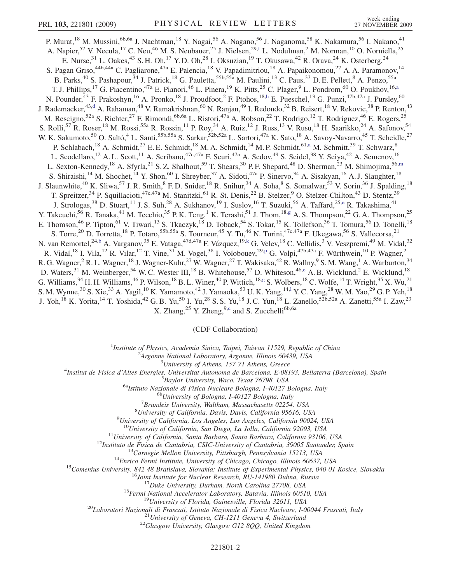<span id="page-1-8"></span><span id="page-1-6"></span><span id="page-1-4"></span><span id="page-1-0"></span>P. Murat,<sup>18</sup> M. Mussini,<sup>6b,6a</sup> J. Nachtman,<sup>18</sup> Y. Nagai,<sup>56</sup> A. Nagano,<sup>56</sup> J. Naganoma,<sup>58</sup> K. Nakamura,<sup>56</sup> I. Nakano,<sup>41</sup> A. Napier,<sup>57</sup> V. Necula,<sup>17</sup> C. Neu,<sup>46</sup> M. S. Neubauer,<sup>25</sup> J. Nielsen,<sup>29,[f](#page-6-10)</sup> L. Nodulman,<sup>2</sup> M. Norman,<sup>10</sup> O. Norniella,<sup>25</sup> E. Nurse,  $31$  L. Oakes,  $43$  S. H. Oh,  $17$  Y. D. Oh,  $28$  I. Oksuzian,  $19$  T. Okusawa,  $42$  R. Orava,  $24$  K. Osterberg,  $24$ S. Pagan Griso,<sup>44b,44a</sup> C. Pagliarone,<sup>47a</sup> E. Palencia,<sup>18</sup> V. Papadimitriou,<sup>18</sup> A. Papaikonomou,<sup>27</sup> A. A. Paramonov,<sup>14</sup> B. Parks,<sup>40</sup> S. Pashapour,<sup>34</sup> J. Patrick,<sup>18</sup> G. Pauletta,<sup>55b,55a</sup> M. Paulini,<sup>13</sup> C. Paus,<sup>33</sup> D. E. Pellett,<sup>8</sup> A. Penzo,<sup>55a</sup> T. J. Phillips,<sup>17</sup> G. Piacentino,<sup>47a</sup> E. Pianori,<sup>46</sup> L. Pinera,<sup>19</sup> K. Pitts,<sup>25</sup> C. Plager,<sup>9</sup> L. Pondrom,<sup>60</sup> O. Poukhov,<sup>16[,a](#page-6-11)</sup> N. Pounder,<sup>43</sup> F. Prakoshyn,<sup>16</sup> A. Pronko,<sup>18</sup> J. Proudfoot,<sup>2</sup> F. Ptohos,<sup>18[,h](#page-6-12)</sup> E. Pueschel,<sup>13</sup> G. Punzi,<sup>47b,47a</sup> J. Pursley,<sup>60</sup> J. Ra[d](#page-6-5)emacker,<sup>43,d</sup> A. Rahaman,<sup>48</sup> V. Ramakrishnan,<sup>60</sup> N. Ranjan,<sup>49</sup> I. Redondo,<sup>32</sup> B. Reisert,<sup>18</sup> V. Rekovic,<sup>38</sup> P. Renton,<sup>43</sup> M. Rescigno,<sup>52a</sup> S. Richter,<sup>27</sup> F. Rimondi,<sup>6b,6a</sup> L. Ristori,<sup>47a</sup> A. Robson,<sup>22</sup> T. Rodrigo,<sup>12</sup> T. Rodriguez,<sup>46</sup> E. Rogers,<sup>25</sup> S. Rolli,<sup>57</sup> R. Roser,<sup>18</sup> M. Rossi,<sup>55a</sup> R. Rossin,<sup>11</sup> P. Roy,<sup>34</sup> A. Ruiz,<sup>12</sup> J. Russ,<sup>13</sup> V. Rusu,<sup>18</sup> H. Saarikko,<sup>24</sup> A. Safonov,<sup>54</sup> W. K. Sakumoto,<sup>50</sup> O. Saltó,<sup>4</sup> L. Santi,<sup>55b,55a</sup> S. Sarkar,<sup>52b,52a</sup> L. Sartori,<sup>47a</sup> K. Sato,<sup>18</sup> A. Savoy-Navarro,<sup>45</sup> T. Scheidle,<sup>27</sup> P. Schlabach,<sup>18</sup> A. Schmidt,<sup>27</sup> E. E. Schmidt,<sup>18</sup> M. A. Schmidt,<sup>14</sup> M. P. Schmidt,<sup>61[,a](#page-6-11)</sup> M. Schmitt,<sup>39</sup> T. Schwarz,<sup>8</sup> L. Scodellaro,<sup>12</sup> A. L. Scott,<sup>11</sup> A. Scribano,<sup>47c,47a</sup> F. Scuri,<sup>47a</sup> A. Sedov,<sup>49</sup> S. Seidel,<sup>38</sup> Y. Seiya,<sup>42</sup> A. Semenov,<sup>16</sup> L. Sexton-Kennedy,<sup>18</sup> A. Sfyrla,<sup>21</sup> S. Z. Shalhout,<sup>59</sup> T. Shears,<sup>30</sup> P. F. Shepard,<sup>48</sup> D. Sher[m](#page-6-13)an,<sup>23</sup> M. Shimojima,<sup>56,m</sup> S. Shiraishi,<sup>14</sup> M. Shochet,<sup>14</sup> Y. Shon,<sup>60</sup> I. Shreyber,<sup>37</sup> A. Sidoti,<sup>47a</sup> P. Sinervo,<sup>34</sup> A. Sisakyan,<sup>16</sup> A. J. Slaughter,<sup>18</sup> J. Slaunwhite,<sup>40</sup> K. Sliwa,<sup>57</sup> J. R. Smith,<sup>8</sup> F. D. Snider,<sup>18</sup> R. Snihur,<sup>34</sup> A. Soha,<sup>8</sup> S. Somalwar,<sup>53</sup> V. Sorin,<sup>36</sup> J. Spalding,<sup>18</sup> T. Spreitzer,<sup>34</sup> P. Squillacioti,<sup>47c,47a</sup> M. Stanitzki,<sup>61</sup> R. St. Denis,<sup>22</sup> B. Stelzer,<sup>9</sup> O. Stelzer-Chilton,<sup>43</sup> D. Stentz,<sup>39</sup> J. Strologas,<sup>38</sup> D. Stuart,<sup>11</sup> J. S. Suh,<sup>28</sup> A. Sukhanov,<sup>19</sup> I. Suslov,<sup>16</sup> T. Suzuki,<sup>56</sup> A. Taffard,<sup>25[,e](#page-6-14)</sup> R. Takashima,<sup>41</sup> Y. Takeuchi,<sup>56</sup> R. Tanaka,<sup>41</sup> M. Tecchio,<sup>35</sup> P. K. Teng,<sup>1</sup> K. Terashi,<sup>51</sup> J. Thom,<sup>18[,g](#page-6-15)</sup> A. S. Thompson,<sup>22</sup> G. A. Thompson,<sup>25</sup> E. Thomson,<sup>46</sup> P. Tipton,<sup>61</sup> V. Tiwari,<sup>13</sup> S. Tkaczyk,<sup>18</sup> D. Toback,<sup>54</sup> S. Tokar,<sup>15</sup> K. Tollefson,<sup>36</sup> T. Tomura,<sup>56</sup> D. Tonelli,<sup>18</sup> S. Torre,<sup>20</sup> D. Torretta,<sup>18</sup> P. Totaro,<sup>55b,55a</sup> S. Tourneur,<sup>45</sup> Y. Tu,<sup>46</sup> N. Turini,<sup>47c,47a</sup> F. Ukegawa,<sup>56</sup> S. Vallecorsa,<sup>21</sup> N. van Remortel,<sup>24,[b](#page-6-16)</sup> A. Varganov,<sup>35</sup> E. Vataga,<sup>47d,47a</sup> F. Vázquez,<sup>19[,k](#page-6-2)</sup> G. Velev,<sup>18</sup> C. Vellidis,<sup>3</sup> V. Veszpremi,<sup>49</sup> M. Vidal,<sup>32</sup> R. Vidal,<su[p](#page-6-6)>18</sup> I. Vila,<sup>12</sup> R. Vilar,<sup>12</sup> T. Vine,<sup>31</sup> M. Vogel,<sup>38</sup> I. Volobouev,<sup>29,p</sup> G. Volpi,<sup>47b,47a</sup> F. Würthwein,<sup>10</sup> P. Wagner,<sup>2</sup> R. G. Wagner,<sup>2</sup> R. L. Wagner,<sup>18</sup> J. Wagner-Kuhr,<sup>27</sup> W. Wagner,<sup>27</sup> T. Wakisaka,<sup>42</sup> R. Wallny,<sup>9</sup> S. M. Wang,<sup>1</sup> A. Warburton,<sup>34</sup> D. Waters,<sup>31</sup> M. Weinberger,<sup>54</sup> W. C. Wester III,<sup>18</sup> B. Whitehouse,<sup>57</sup> D. Whiteson,<sup>46[,e](#page-6-14)</sup> A. B. Wicklund,<sup>2</sup> E. Wicklund,<sup>18</sup> G. Williams, <sup>34</sup> H. H. Williams, <sup>46</sup> P. Wilson, <sup>18</sup> B. L. Winer, <sup>40</sup> P. Wittich, <sup>18,[g](#page-6-15)</sup> S. Wolbers, <sup>18</sup> C. Wolfe, <sup>14</sup> T. Wright, <sup>35</sup> X. Wu, <sup>21</sup> S. M. Wynne,<sup>30</sup> S. Xie,<sup>33</sup> A. Yagi[l](#page-6-17),<sup>10</sup> K. Yamamoto,<sup>42</sup> J. Yamaoka,<sup>53</sup> U.K. Yang,<sup>14,1</sup> Y.C. Yang,<sup>28</sup> W.M. Yao,<sup>29</sup> G.P. Yeh,<sup>18</sup> J. Yoh,<sup>18</sup> K. Yorita,<sup>14</sup> T. Yoshida,<sup>42</sup> G. B. Yu,<sup>50</sup> I. Yu,<sup>28</sup> S. S. Yu,<sup>18</sup> J. C. Yun,<sup>18</sup> L. Zanello,<sup>52b,52a</sup> A. Zanetti,<sup>55a</sup> I. Zaw,<sup>23</sup> X. Zhang,<sup>25</sup> Y. Zheng,<sup>9,[c](#page-6-18)</sup> and S. Zucchelli<sup>6b,6a</sup>

(CDF Collaboration)

<sup>1</sup>Institute of Physics, Academia Sinica, Taipei, Taiwan 11529, Republic of China<br><sup>2</sup>Argonna National Laboratory, Argonna Illinois 60430, USA

 $A$ rgonne National Laboratory, Argonne, Illinois 60439, USA<br> $3$ University of Athens, 157 71 Athens, Greece

<span id="page-1-7"></span><span id="page-1-5"></span><span id="page-1-3"></span><span id="page-1-2"></span><span id="page-1-1"></span><sup>5</sup> University of Athens, 157 71 Athens, Greece  $\frac{3}{4}$  University of Athens, 157 71 Athens, Greece

Institut de Fisica d'Altes Energies, Universitat Autonoma de Barcelona, E-08193, Bellaterra (Barcelona), Spain <sup>5</sup>

 $^{5}$ Baylor University, Waco, Texas 76798, USA<br><sup>6a</sup>Istituto Nazionale di Fisica Nucleare Bologna, I-40127 Bologna, Italy <sup>6b</sup>University of Bologna, I-40127 Bologna, Italy

 ${}^{7}$ Brandeis University, Waltham, Massachusetts 02254, USA

 ${}^{8}$ University of California, Davis, Davis, California 95616, USA

 $^{9}$ University of California, Los Angeles, Los Angeles, California 90024, USA

 $^{10}$ University of California, San Diego, La Jolla, California 92093, USA<br>  $^{11}$ University of California, Santa Barbara, Santa Barbara, California 93106, USA<br>  $^{12}$ Instituto de Fisica de Cantabria, CSIC-University of C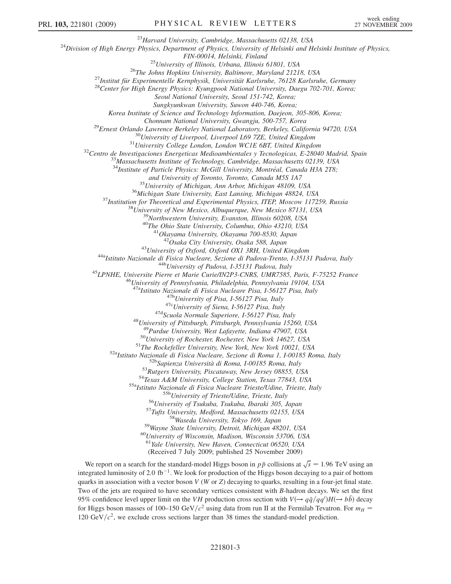<sup>23</sup>Harvard University, Cambridge, Massachusetts 02138, USA<br><sup>24</sup>Division of High Energy Physics, Department of Physics, University of Helsinki and Helsinki Institute of Physics,

FIN-00014, Helsinki, Finland<br><sup>25</sup>University of Illinois, Urbana, Illinois 61801, USA<br><sup>26</sup>The Johns Hopkins University, Baltimore, Maryland 21218, USA<br><sup>27</sup>Institut für Experimentelle Kernphysik, Universität Karlsruhe, 76128

Seoul National University, Seoul 151-742, Korea;

Sungkyunkwan University, Suwon 440-746, Korea;

Korea Institute of Science and Technology Information, Daejeon, 305-806, Korea;

<sup>29</sup>Ernest Orlando Lawrence Berkeley National Laboratory, Berkeley, California 94720, USA<br><sup>30</sup>University of Liverpool, Liverpool L69 7ZE, United Kingdom<br><sup>31</sup>University College London, London WCIE 6BT, United Kingdom<br><sup>32</sup>C

 $34$ Institute of Particle Physics: McGill University, Montréal, Canada H3A 2T8;

and University of Toronto, Toronto, Canada M5S 1A7<br><sup>35</sup>University of Michigan, Ann Arbor, Michigan 48109, USA<br><sup>36</sup>Michigan State University, East Lansing, Michigan 48824, USA<br><sup>37</sup>Institution for Theoretical and Experimenta

<sup>43</sup>University of Oxford, Oxford OX1 3RH, United Kingdom<br><sup>44a</sup>Istituto Nazionale di Fisica Nucleare, Sezione di Padova-Trento, I-35131 Padova, Italy<br><sup>44b</sup>University of Padova, I-35131 Padova, Italy<br><sup>45</sup>LPNHE, Universite P

<sup>47a</sup>Istituto Nazionale di Fisica Nucleare Pisa, I-56127 Pisa, Italy<br><sup>47b</sup>University of Pisa, I-56127 Pisa, Italy<br><sup>47c</sup>University of Siena, I-56127 Pisa, Italy<br><sup>47d</sup>Scuola Normale Superiore, I-56127 Pisa, Italy<br><sup>48</sup>Univer

<sup>49</sup>Purdue University, West Lafayette, Indiana 47907, USA<br><sup>50</sup>University of Rochester, Rochester, New York 14627, USA<br><sup>51</sup>The Rockefeller University, New York, New York 10021, USA<br><sup>52</sup>Alstituto Nazionale di Fisica Nuclear

 $^{60}$ University of Wisconsin, Madison, Wisconsin 53706, USA<br> $^{61}$ Yale University, New Haven, Connecticut 06520, USA

(Received 7 July 2009; published 25 November 2009)

We report on a search for the standard-model Higgs boson in  $p\bar{p}$  collisions at  $\sqrt{s} = 1.96$  TeV using an exercise luminosity of 2.0 fb<sup>-1</sup>. We look for production of the Higgs boson decaying to a pair of bottom integrated luminosity of 2.0 fb<sup>-1</sup>. We look for production of the Higgs boson decaying to a pair of bottom quarks in association with a vector boson  $V(W \text{ or } Z)$  decaying to quarks, resulting in a four-jet final state. Two of the jets are required to have secondary vertices consistent with B-hadron decays. We set the first 95% confidence level upper limit on the VH production cross section with  $V(\rightarrow q\bar{q}/qq')H(\rightarrow bb)$  decay<br>for Higgs boson masses of 100, 150 GeV/ $c^2$  using data from run II at the Fermilah Tevatron. For  $m =$ for Higgs boson masses of 100–150 GeV/ $c^2$  using data from run II at the Fermilab Tevatron. For  $m_H$  = 120 GeV/ $c^2$ , we exclude cross sections larger than 38 times the standard-model prediction.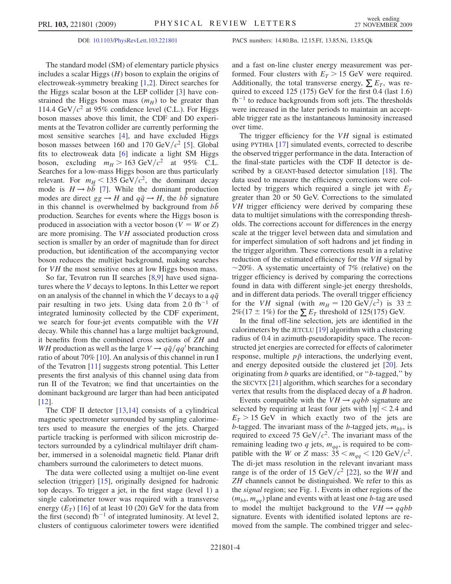The standard model (SM) of elementary particle physics includes a scalar Higgs  $(H)$  boson to explain the origins of electroweak-symmetry breaking [\[1,](#page-6-19)[2](#page-6-20)]. Direct searches for the Higgs scalar boson at the LEP collider [[3](#page-6-21)] have constrained the Higgs boson mass  $(m_H)$  to be greater than 114.4 GeV/ $c^2$  at 95% confidence level (C.L.). For Higgs boson masses above this limit, the CDF and D0 experiments at the Tevatron collider are currently performing the most sensitive searches [\[4](#page-6-22)], and have excluded Higgs boson masses between 160 and 170 GeV/ $c^2$  [\[5](#page-6-23)]. Global fits to electroweak data [\[6](#page-6-24)] indicate a light SM Higgs boson, excluding  $m_H > 163 \text{ GeV}/c^2$  at 95% C.L. Searches for a low-mass Higgs boson are thus particularly relevant. For  $m_H < 135 \text{ GeV}/c^2$ , the dominant decay mode is  $H \rightarrow bb$  [[7](#page-6-25)]. While the dominant production modes are direct  $gg \to H$  and  $q\bar{q} \to H$ , the bb signature in this channel is overwhelmed by background from bb production. Searches for events where the Higgs boson is produced in association with a vector boson ( $V = W$  or Z) are more promising. The VH associated production cross section is smaller by an order of magnitude than for direct production, but identification of the accompanying vector boson reduces the multijet background, making searches for VH the most sensitive ones at low Higgs boson mass.

So far, Tevatron run II searches [\[8,](#page-6-26)[9](#page-6-27)] have used signatures where the V decays to leptons. In this Letter we report on an analysis of the channel in which the V decays to a  $q\bar{q}$ pair resulting in two jets. Using data from 2.0  $fb^{-1}$  of integrated luminosity collected by the CDF experiment, we search for four-jet events compatible with the VH decay. While this channel has a large multijet background, it benefits from the combined cross sections of ZH and WH production as well as the large  $V \rightarrow q\bar{q}/qq'$  branching ratio of about 70% [[10](#page-6-28)]. An analysis of this channel in run I of the Tevatron [\[11](#page-6-29)] suggests strong potential. This Letter presents the first analysis of this channel using data from run II of the Tevatron; we find that uncertainties on the dominant background are larger than had been anticipated [\[12\]](#page-6-30).

The CDF II detector [[13](#page-6-31)[,14\]](#page-6-32) consists of a cylindrical magnetic spectrometer surrounded by sampling calorimeters used to measure the energies of the jets. Charged particle tracking is performed with silicon microstrip detectors surrounded by a cylindrical multilayer drift chamber, immersed in a solenoidal magnetic field. Planar drift chambers surround the calorimeters to detect muons.

The data were collected using a multijet on-line event selection (trigger) [\[15\]](#page-6-33), originally designed for hadronic top decays. To trigger a jet, in the first stage (level 1) a single calorimeter tower was required with a transverse energy  $(E_T)$  [[16\]](#page-6-34) of at least 10 (20) GeV for the data from the first (second)  $fb^{-1}$  of integrated luminosity. At level 2, clusters of contiguous calorimeter towers were identified and a fast on-line cluster energy measurement was performed. Four clusters with  $E_T > 15$  GeV were required. Additionally, the total transverse energy,  $\sum E_T$ , was required to exceed 125 (175) GeV for the first 0.4 (last 1.6)  $fb^{-1}$  to reduce backgrounds from soft jets. The thresholds were increased in the later periods to maintain an acceptable trigger rate as the instantaneous luminosity increased over time.

The trigger efficiency for the  $VH$  signal is estimated using PYTHIA [\[17\]](#page-6-35) simulated events, corrected to describe the observed trigger performance in the data. Interaction of the final-state particles with the CDF II detector is described by a GEANT-based detector simulation [[18](#page-6-36)]. The data used to measure the efficiency corrections were collected by triggers which required a single jet with  $E<sub>T</sub>$ greater than 20 or 50 GeV. Corrections to the simulated VH trigger efficiency were derived by comparing these data to multijet simulations with the corresponding thresholds. The corrections account for differences in the energy scale at the trigger level between data and simulation and for imperfect simulation of soft hadrons and jet finding in the trigger algorithm. These corrections result in a relative reduction of the estimated efficiency for the VH signal by  $\sim$ 20%. A systematic uncertainty of 7% (relative) on the trigger efficiency is derived by comparing the corrections trigger efficiency is derived by comparing the corrections found in data with different single-jet energy thresholds, and in different data periods. The overall trigger efficiency for the VH signal (with  $m_H = 120 \text{ GeV}/c^2$ ) is 33  $\pm$  $2\%$ (17  $\pm$  1%) for the  $\Sigma E_T$  threshold of 125(175) GeV.

In the final off-line selection, jets are identified in the calorimeters by the JETCLU [\[19\]](#page-7-0) algorithm with a clustering radius of 0.4 in azimuth-pseudorapidity space. The reconstructed jet energies are corrected for effects of calorimeter response, multiple  $p\bar{p}$  interactions, the underlying event, and energy deposited outside the clustered jet [[20\]](#page-7-1). Jets originating from b quarks are identified, or ''b-tagged,'' by the SECVTX [\[21\]](#page-7-2) algorithm, which searches for a secondary vertex that results from the displaced decay of a B hadron.

Events compatible with the  $VH \rightarrow qqbb$  signature are selected by requiring at least four jets with  $|\eta|$  < 2.4 and  $E<sub>T</sub> > 15$  GeV in which exactly two of the jets are b-tagged. The invariant mass of the b-tagged jets,  $m_{hh}$ , is required to exceed 75 GeV/ $c^2$ . The invariant mass of the remaining leading two q jets,  $m_{qq}$ , is required to be compatible with the W or Z mass:  $35 < m_{qq} < 120 \text{ GeV}/c^2$ . The di-jet mass resolution in the relevant invariant mass range is of the order of 15 GeV/ $c^2$  [\[22\]](#page-7-3), so the WH and ZH channels cannot be distinguished. We refer to this as the signal region; see Fig. [1](#page-4-0). Events in other regions of the  $(m_{bb}, m_{qq})$  plane and events with at least one b-tag are used to model the multijet background to the  $VH \rightarrow qqbb$ signature. Events with identified isolated leptons are removed from the sample. The combined trigger and selec-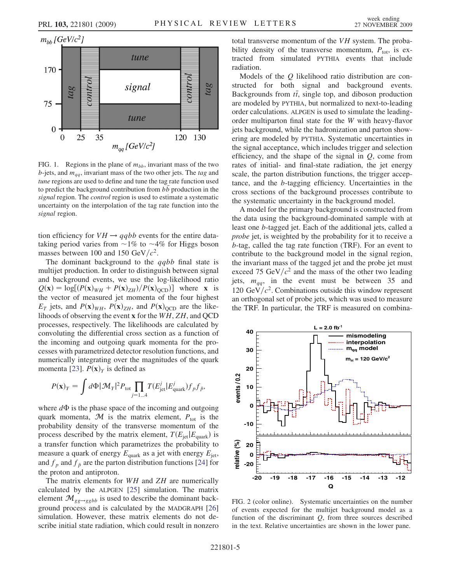<span id="page-4-0"></span>

FIG. 1. Regions in the plane of  $m_{bb}$ , invariant mass of the two b-jets, and  $m_{qq}$ , invariant mass of the two other jets. The tag and tune regions are used to define and tune the tag rate function used to predict the background contribution from  $b\bar{b}$  production in the signal region. The *control* region is used to estimate a systematic uncertainty on the interpolation of the tag rate function into the signal region.

tion efficiency for  $VH \rightarrow qqbb$  events for the entire datataking period varies from  $\sim$ 1% to  $\sim$ 4% for Higgs boson<br>masses between 100 and 150 GeV/ $c^2$ masses between 100 and 150 GeV/ $c^2$ .

The dominant background to the  $qqbb$  final state is multijet production. In order to distinguish between signal and background events, we use the log-likelihood ratio  $Q(\mathbf{x}) = \log[(P(\mathbf{x})_{WH} + P(\mathbf{x})_{ZH})/P(\mathbf{x})_{QCD})]$  where x is the vector of measured jet momenta of the four highest  $E_T$  jets, and  $P(\mathbf{x})_{WH}$ ,  $P(\mathbf{x})_{ZH}$ , and  $P(\mathbf{x})_{OCD}$  are the likelihoods of observing the event x for the WH, ZH, and QCD processes, respectively. The likelihoods are calculated by convoluting the differential cross section as a function of the incoming and outgoing quark momenta for the processes with parametrized detector resolution functions, and numerically integrating over the magnitudes of the quark momenta [[23\]](#page-7-4).  $P(\mathbf{x})_Y$  is defined as

$$
P(\mathbf{x})_Y = \int d\Phi |\mathcal{M}_Y|^2 P_{\text{tot}} \prod_{j=1...4} T(E_{\text{jet}}^j | E_{\text{quark}}^j) f_p f_{\bar{p}},
$$

where  $d\Phi$  is the phase space of the incoming and outgoing<br>quark momenta  $\mathcal M$  is the matrix element  $P_{\text{max}}$  is the quark momenta,  $\mathcal{M}$  is the matrix element,  $P_{\text{tot}}$  is the probability density of the transverse momentum of the process described by the matrix element,  $T(E_{\text{jet}}|E_{\text{quark}})$  is a transfer function which parametrizes the probability to measure a quark of energy  $E_{\text{quark}}$  as a jet with energy  $E_{\text{jet}}$ , and  $f_p$  and  $f_{\bar{p}}$  are the parton distribution functions [\[24\]](#page-7-5) for the proton and antiproton.

The matrix elements for  $WH$  and  $ZH$  are numerically calculated by the ALPGEN [\[25\]](#page-7-6) simulation. The matrix element  $\mathcal{M}_{gg\to ggbb}$  is used to describe the dominant background process and is calculated by the MADGRAPH [\[26\]](#page-7-7) simulation. However, these matrix elements do not describe initial state radiation, which could result in nonzero total transverse momentum of the VH system. The probability density of the transverse momentum,  $P_{\text{tot}}$ , is extracted from simulated PYTHIA events that include radiation.

Models of the Q likelihood ratio distribution are constructed for both signal and background events. Backgrounds from  $t\bar{t}$ , single top, and diboson production<br>are modeled by  $\text{DVTHA}$ , but parmelized to next to leading are modeled by PYTHIA, but normalized to next-to-leading order calculations. ALPGEN is used to simulate the leadingorder multiparton final state for the W with heavy-flavor jets background, while the hadronization and parton showering are modeled by PYTHIA. Systematic uncertainties in the signal acceptance, which includes trigger and selection efficiency, and the shape of the signal in  $Q$ , come from rates of initial- and final-state radiation, the jet energy scale, the parton distribution functions, the trigger acceptance, and the b-tagging efficiency. Uncertainties in the cross sections of the background processes contribute to the systematic uncertainty in the background model.

A model for the primary background is constructed from the data using the background-dominated sample with at least one b-tagged jet. Each of the additional jets, called a probe jet, is weighted by the probability for it to receive a b-tag, called the tag rate function (TRF). For an event to contribute to the background model in the signal region, the invariant mass of the tagged jet and the probe jet must exceed 75 GeV/ $c^2$  and the mass of the other two leading jets,  $m_{qa}$ , in the event must be between 35 and 120 GeV/ $c^2$ . Combinations outside this window represent an orthogonal set of probe jets, which was used to measure the TRF. In particular, the TRF is measured on combina-

<span id="page-4-1"></span>

FIG. 2 (color online). Systematic uncertainties on the number of events expected for the multijet background model as a function of the discriminant Q, from three sources described in the text. Relative uncertainties are shown in the lower pane.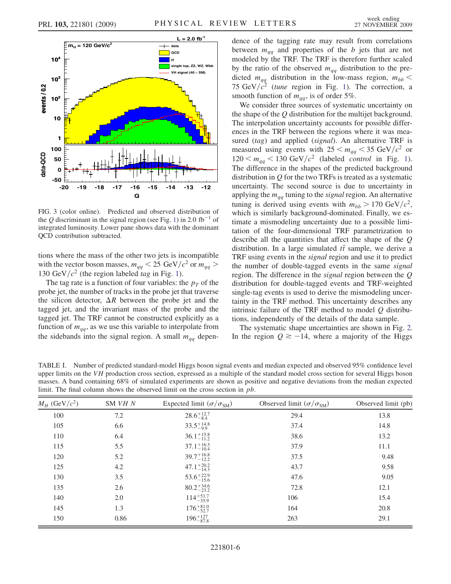<span id="page-5-0"></span>

FIG. 3 (color online). Predicted and observed distribution of the Q discriminant in the signal region (see Fig. [1\)](#page-4-0) in 2.0 fb<sup>-1</sup> of integrated luminosity. Lower pane shows data with the dominant QCD contribution subtracted.

tions where the mass of the other two jets is incompatible with the vector boson masses,  $m_{qq} < 25 \text{ GeV}/c^2 \text{ or } m_{qq} >$ [1](#page-4-0)30 GeV/ $c^2$  (the region labeled tag in Fig. 1).

The tag rate is a function of four variables: the  $p<sub>T</sub>$  of the probe jet, the number of tracks in the probe jet that traverse the silicon detector,  $\Delta R$  between the probe jet and the tagged jet, and the invariant mass of the probe and the tagged jet. The TRF cannot be constructed explicitly as a function of  $m_{qq}$ , as we use this variable to interpolate from the sidebands into the signal region. A small  $m_{qq}$  dependence of the tagging rate may result from correlations between  $m_{qq}$  and properties of the b jets that are not modeled by the TRF. The TRF is therefore further scaled by the ratio of the observed  $m_{qq}$  distribution to the predicted  $m_{qq}$  distribution in the low-mass region,  $m_{bb}$  < 75 GeV/ $c^2$  (tune region in Fig. [1](#page-4-0)). The correction, a smooth function of  $m_{qq}$ , is of order 5%.

We consider three sources of systematic uncertainty on the shape of the Q distribution for the multijet background. The interpolation uncertainty accounts for possible differences in the TRF between the regions where it was measured (tag) and applied (signal). An alternative TRF is measured using events with  $25 < m_{qq} < 35 \text{ GeV}/c^2$  or  $120 < m_{qq} < 130 \text{ GeV}/c^2$  (labeled *control* in Fig. [1\)](#page-4-0). The difference in the shapes of the predicted background distribution in  $Q$  for the two TRFs is treated as a systematic uncertainty. The second source is due to uncertainty in applying the  $m_{q\bar{q}}$  tuning to the *signal* region. An alternative tuning is derived using events with  $m_{bb} > 170 \text{ GeV}/c^2$ , which is similarly background-dominated. Finally, we estimate a mismodeling uncertainty due to a possible limitation of the four-dimensional TRF parametrization to describe all the quantities that affect the shape of the Q distribution. In a large simulated  $t\bar{t}$  sample, we derive a<br>TRE using events in the signal region and use it to predict TRF using events in the signal region and use it to predict the number of double-tagged events in the same signal region. The difference in the signal region between the Q distribution for double-tagged events and TRF-weighted single-tag events is used to derive the mismodeling uncertainty in the TRF method. This uncertainty describes any intrinsic failure of the TRF method to model  $Q$  distributions, independently of the details of the data sample.

The systematic shape uncertainties are shown in Fig. [2.](#page-4-1) In the region  $Q \ge -14$ , where a majority of the Higgs

<span id="page-5-1"></span>TABLE I. Number of predicted standard-model Higgs boson signal events and median expected and observed 95% confidence level upper limits on the VH production cross section, expressed as a multiple of the standard model cross section for several Higgs boson masses. A band containing 68% of simulated experiments are shown as positive and negative deviations from the median expected limit. The final column shows the observed limit on the cross section in pb.

| $M_H$ (GeV/ $c^2$ ) | SM VH N | Expected limit $(\sigma/\sigma_{\text{SM}})$ | Observed limit $(\sigma/\sigma_{\text{SM}})$ | Observed limit (pb) |
|---------------------|---------|----------------------------------------------|----------------------------------------------|---------------------|
| 100                 | 7.2     | $28.6^{+12.7}_{-8.4}$                        | 29.4                                         | 13.8                |
| 105                 | 6.6     | $33.5^{+14.8}_{-9.9}$                        | 37.4                                         | 14.8                |
| 110                 | 6.4     | $36.1_{-11.2}^{+15.8}$                       | 38.6                                         | 13.2                |
| 115                 | 5.5     | $37.1_{-10.4}^{+16.3}$                       | 37.9                                         | 11.1                |
| 120                 | 5.2     | $39.7^{+16.8}_{-12.2}$                       | 37.5                                         | 9.48                |
| 125                 | 4.2     | $47.1_{-14.3}^{+20.2}$                       | 43.7                                         | 9.58                |
| 130                 | 3.5     | $53.6^{+22.9}_{-15.6}$                       | 47.6                                         | 9.05                |
| 135                 | 2.6     | $80.2^{+34.6}_{-23.2}$                       | 72.8                                         | 12.1                |
| 140                 | 2.0     | $114^{+51.7}_{-35.9}$                        | 106                                          | 15.4                |
| 145                 | 1.3     | $176^{+81.0}_{-52.7}$                        | 164                                          | 20.8                |
| 150                 | 0.86    | $196^{+127}_{-87.8}$                         | 263                                          | 29.1                |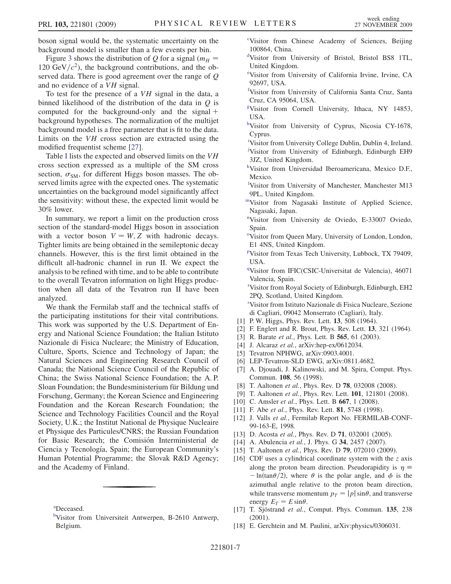boson signal would be, the systematic uncertainty on the background model is smaller than a few events per bin.

Figure [3](#page-5-0) shows the distribution of O for a signal ( $m<sub>H</sub>$  = 120 GeV/ $c^2$ ), the background contributions, and the observed data. There is good agreement over the range of Q and no evidence of a VH signal.

To test for the presence of a VH signal in the data, a binned likelihood of the distribution of the data in  $Q$  is computed for the background-only and the signal  $+$ background hypotheses. The normalization of the multijet background model is a free parameter that is fit to the data. Limits on the VH cross section are extracted using the modified frequentist scheme [\[27\]](#page-7-8).

Table [I](#page-5-1) lists the expected and observed limits on the VH cross section expressed as a multiple of the SM cross section,  $\sigma_{SM}$ , for different Higgs boson masses. The ob-<br>served limits agree with the expected ones. The systematic served limits agree with the expected ones. The systematic uncertainties on the background model significantly affect the sensitivity: without these, the expected limit would be 30% lower.

In summary, we report a limit on the production cross section of the standard-model Higgs boson in association with a vector boson  $V = W, Z$  with hadronic decays. Tighter limits are being obtained in the semileptonic decay channels. However, this is the first limit obtained in the difficult all-hadronic channel in run II. We expect the analysis to be refined with time, and to be able to contribute to the overall Tevatron information on light Higgs production when all data of the Tevatron run II have been analyzed.

We thank the Fermilab staff and the technical staffs of the participating institutions for their vital contributions. This work was supported by the U.S. Department of Energy and National Science Foundation; the Italian Istituto Nazionale di Fisica Nucleare; the Ministry of Education, Culture, Sports, Science and Technology of Japan; the Natural Sciences and Engineering Research Council of Canada; the National Science Council of the Republic of China; the Swiss National Science Foundation; the A. P. Sloan Foundation; the Bundesministerium für Bildung und Forschung, Germany; the Korean Science and Engineering Foundation and the Korean Research Foundation; the Science and Technology Facilities Council and the Royal Society, U.K.; the Institut National de Physique Nucleaire et Physique des Particules/CNRS; the Russian Foundation for Basic Research; the Comisión Interministerial de Ciencia y Tecnología, Spain; the European Community's Human Potential Programme; the Slovak R&D Agency; and the Academy of Finland.

<span id="page-6-16"></span><span id="page-6-11"></span>[a](#page-1-0) Deceased.

- <span id="page-6-18"></span><sup>[c](#page-1-2)</sup>Visitor from Chinese Academy of Sciences, Beijing 100864, China.
- <span id="page-6-5"></span>[d](#page-0-0) Visitor from University of Bristol, Bristol BS8 1TL, United Kingdom.
- <span id="page-6-14"></span>[e](#page-1-3) Visitor from University of California Irvine, Irvine, CA 92697, USA.
- <span id="page-6-10"></span>[f](#page-1-4) Visitor from University of California Santa Cruz, Santa Cruz, CA 95064, USA.
- <span id="page-6-15"></span>[g](#page-1-5) Visitor from Cornell University, Ithaca, NY 14853, USA.
- <span id="page-6-12"></span>[h](#page-1-6)Visitor from University of Cyprus, Nicosia CY-1678, Cyprus.
- <span id="page-6-9"></span><span id="page-6-8"></span><sup>[i](#page-0-1)</sup>Visitor from University College Dublin, Dublin 4, Ireland. [j](#page-0-2) Visitor from University of Edinburgh, Edinburgh EH9 3JZ, United Kingdom.
- <span id="page-6-2"></span>[k](#page-0-3) Visitor from Universidad Iberoamericana, Mexico D.F., Mexico.
- <span id="page-6-17"></span>[l](#page-1-7) Visitor from University of Manchester, Manchester M13 9PL, United Kingdom.
- <span id="page-6-13"></span>[mV](#page-1-8)isitor from Nagasaki Institute of Applied Science, Nagasaki, Japan.
- <span id="page-6-4"></span>[n](#page-0-4) Visitor from University de Oviedo, E-33007 Oviedo, Spain.
- <span id="page-6-3"></span><sup>[o](#page-0-5)</sup>Visitor from Queen Mary, University of London, London, E1 4NS, United Kingdom.
- <span id="page-6-6"></span><su[p](#page-0-6)>p</sup>Visitor from Texas Tech University, Lubbock, TX 79409, USA.
- <span id="page-6-1"></span><sup>[q](#page-0-4)</sup>Visitor from IFIC(CSIC-Universitat de Valencia), 46071 Valencia, Spain.
- <span id="page-6-0"></span>[r](#page-0-7) Visitor from Royal Society of Edinburgh, Edinburgh, EH2 2PQ, Scotland, United Kingdom.

<span id="page-6-7"></span>[s](#page-0-8) Visitor from Istituto Nazionale di Fisica Nucleare, Sezione di Cagliari, 09042 Monserrato (Cagliari), Italy.

- <span id="page-6-20"></span><span id="page-6-19"></span>[1] P. W. Higgs, Phys. Rev. Lett. **13**, 508 (1964).
- <span id="page-6-21"></span>[2] F. Englert and R. Brout, *Phys. Rev. Lett.* **13**, 321 (1964).
- <span id="page-6-22"></span>[3] R. Barate *et al.*, *Phys. Lett. B* **565**, 61 (2003).
- <span id="page-6-23"></span>[4] J. Alcaraz et al., arXiv:hep-ex/0612034.
- <span id="page-6-24"></span>[5] Tevatron NPHWG, arXiv:0903.4001.
- <span id="page-6-25"></span>[6] LEP-Tevatron-SLD EWG, arXiv:0811.4682.
- [7] A. Djouadi, J. Kalinowski, and M. Spira, Comput. Phys. Commun. 108, 56 (1998).
- <span id="page-6-26"></span>[8] T. Aaltonen et al., Phys. Rev. D 78, 032008 (2008).
- <span id="page-6-27"></span>[9] T. Aaltonen et al., Phys. Rev. Lett. **101**, 121801 (2008).
- <span id="page-6-29"></span><span id="page-6-28"></span>[10] C. Amsler et al., Phys. Lett. B 667, 1 (2008).
- <span id="page-6-30"></span>[11] F. Abe et al., Phys. Rev. Lett. **81**, 5748 (1998).
- [12] J. Valls et al., Fermilab Report No. FERMILAB-CONF-99-163-E, 1998.
- <span id="page-6-32"></span><span id="page-6-31"></span>[13] D. Acosta et al., Phys. Rev. D 71, 032001 (2005).
- <span id="page-6-33"></span>[14] A. Abulencia et al., J. Phys. G 34, 2457 (2007).
- <span id="page-6-34"></span>[15] T. Aaltonen et al., Phys. Rev. D **79**, 072010 (2009).
- [16] CDF uses a cylindrical coordinate system with the  $z$  axis along the proton beam direction. Pseudorapidity is  $\eta =$  $-\ln(\tan{\theta/2})$ , where  $\theta$  is the polar angle, and  $\phi$  is the azimuthal angle relative to the proton beam direction, while transverse momentum  $p_T = |p| \sin \theta$ , and transverse energy  $E_T = E \sin \theta$ .
- <span id="page-6-35"></span>[17] T. Sjöstrand et al., Comput. Phys. Commun. 135, 238 (2001).
- <span id="page-6-36"></span>[18] E. Gerchtein and M. Paulini, arXiv:physics/0306031.

<sup>&</sup>lt;sup>[b](#page-1-1)</sup>Visitor from Universiteit Antwerpen, B-2610 Antwerp, Belgium.